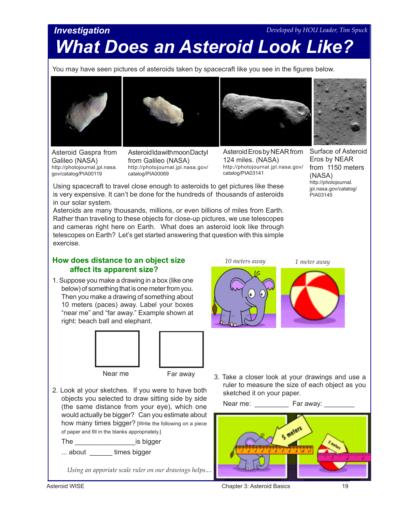# *Investigation What Does an Asteroid Look Like? Developed by HOU Leader, Tim Spuck*

You may have seen pictures of asteroids taken by spacecraft like you see in the figures below.





Asteroid Gaspra from Galileo (NASA) http://photojournal.jpl.nasa. gov/catalog/PIA00119

Asteroid Ida with moon Dactyl from Galileo (NASA) http://photojournal.jpl.nasa.gov/ catalog/PIA00069



Asteroid Eros by NEAR from 124 miles. (NASA) http://photojournal.jpl.nasa.gov/ catalog/PIA03141

Surface of Asteroid Eros by NEAR from 1150 meters (NASA)

http://photojournal. jpl.nasa.gov/catalog/

PIA03145

Using spacecraft to travel close enough to asteroids to get pictures like these is very expensive. It can't be done for the hundreds of thousands of asteroids in our solar system.

Asteroids are many thousands, millions, or even billions of miles from Earth. Rather than traveling to these objects for close-up pictures, we use telescopes and cameras right here on Earth. What does an asteroid look like through telescopes on Earth? Let's get started answering that question with this simple exercise.

### **How does distance to an object size affect its apparent size?**

1. Suppose you make a drawing in a box (like one below) of something that is one meter from you. Then you make a drawing of something about 10 meters (paces) away. Label your boxes "near me" and "far away." Example shown at right: beach ball and elephant.



Near me Far away

2. Look at your sketches. If you were to have both objects you selected to draw sitting side by side (the same distance from your eye), which one would actually be bigger? Can you estimate about how many times bigger? [Write the following on a piece of paper and fill in the blanks appropriately.]

The \_\_\_\_\_\_\_\_\_\_\_\_\_\_\_\_\_\_\_\_\_\_\_\_\_is bigger ... about **times bigger** 

*Using an apporiate scale ruler on our drawings helps....*



3. Take a closer look at your drawings and use a ruler to measure the size of each object as you sketched it on your paper.

Near me: \_\_\_\_\_\_\_\_\_\_\_ Far away:

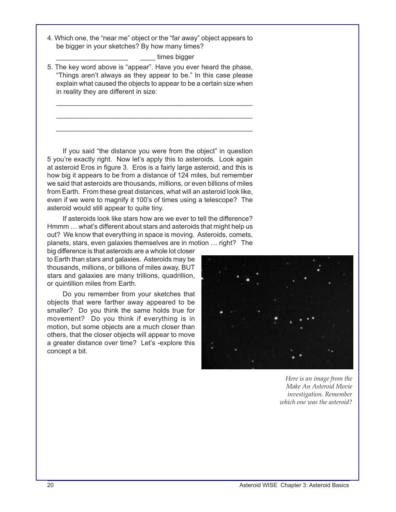4. Which one, the "near me" object or the "far away" object appears to be bigger in your sketches? By how many times?

times bigger

5. The key word above is "appear". Have you ever heard the phase, "Things aren't always as they appear to be." In this case please explain what caused the objects to appear to be a certain size when in reality they are different in size:

\_\_\_\_\_\_\_\_\_\_\_\_\_\_\_\_\_\_\_\_\_\_\_\_\_\_\_\_\_\_\_\_\_\_\_\_\_\_\_\_\_\_\_\_\_\_\_\_\_\_\_\_ \_\_\_\_\_\_\_\_\_\_\_\_\_\_\_\_\_\_\_\_\_\_\_\_\_\_\_\_\_\_\_\_\_\_\_\_\_\_\_\_\_\_\_\_\_\_\_\_\_\_\_\_ \_\_\_\_\_\_\_\_\_\_\_\_\_\_\_\_\_\_\_\_\_\_\_\_\_\_\_\_\_\_\_\_\_\_\_\_\_\_\_\_\_\_\_\_\_\_\_\_\_\_\_\_

If you said "the distance you were from the object" in question 5 you're exactly right. Now let's apply this to asteroids. Look again at asteroid Eros in figure 3. Eros is a fairly large asteroid, and this is how big it appears to be from a distance of 124 miles, but remember we said that asteroids are thousands, millions, or even billions of miles from Earth. From these great distances, what will an asteroid look like, even if we were to magnify it 100's of times using a telescope? The asteroid would still appear to quite tiny.

If asteroids look like stars how are we ever to tell the difference? Hmmm … what's different about stars and asteroids that might help us out? We know that everything in space is moving. Asteroids, comets, planets, stars, even galaxies themselves are in motion … right? The

big difference is that asteroids are a whole lot closer to Earth than stars and galaxies. Asteroids may be thousands, millions, or billions of miles away, BUT stars and galaxies are many trillions, quadrillion, or quintillion miles from Earth.

Do you remember from your sketches that objects that were farther away appeared to be smaller? Do you think the same holds true for movement? Do you think if everything is in motion, but some objects are a much closer than others, that the closer objects will appear to move a greater distance over time? Let's -explore this concept a bit.



*Here is an image from the Make An Asteroid Movie investigation. Remember which one was the asteroid?*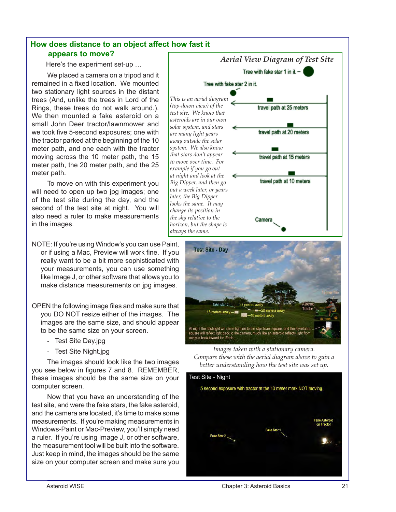## **How does distance to an object affect how fast it appears to move?**

Here's the experiment set-up …

We placed a camera on a tripod and it remained in a fixed location. We mounted two stationary light sources in the distant trees (And, unlike the trees in Lord of the Rings, these trees do not walk around.). We then mounted a fake asteroid on a small John Deer tractor/lawnmower and we took five 5-second exposures; one with the tractor parked at the beginning of the 10 meter path, and one each with the tractor moving across the 10 meter path, the 15 meter path, the 20 meter path, and the 25 meter path.

To move on with this experiment you will need to open up two jpg images; one of the test site during the day, and the second of the test site at night. You will also need a ruler to make measurements in the images.

NOTE: If you're using Window's you can use Paint, or if using a Mac, Preview will work fine. If you really want to be a bit more sophisticated with your measurements, you can use something like Image J, or other software that allows you to make distance measurements on jpg images.

- OPEN the following image files and make sure that you DO NOT resize either of the images. The images are the same size, and should appear to be the same size on your screen.
	- Test Site Day.jpg
	- Test Site Night.jpg

The images should look like the two images you see below in figures 7 and 8. REMEMBER, these images should be the same size on your computer screen.

Now that you have an understanding of the test site, and were the fake stars, the fake asteroid, and the camera are located, it's time to make some measurements. If you're making measurements in Windows-Paint or Mac-Preview, you'll simply need a ruler. If you're using Image J, or other software, the measurement tool will be built into the software. Just keep in mind, the images should be the same size on your computer screen and make sure you





better understanding how the test site was set up. *Images taken with a stationary camera. Compare these with the aerial diagram above to gain a* 

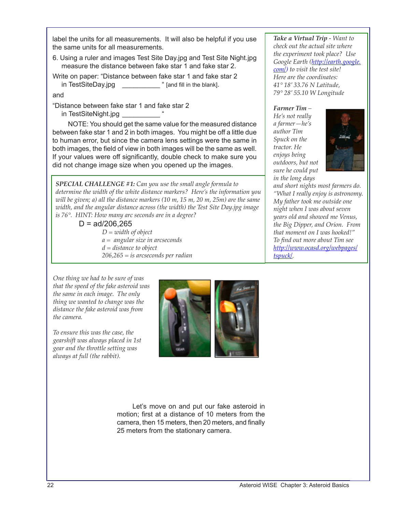label the units for all measurements. It will also be helpful if you use the same units for all measurements.

6. Using a ruler and images Test Site Day.jpg and Test Site Night.jpg measure the distance between fake star 1 and fake star 2.

Write on paper: "Distance between fake star 1 and fake star 2 in TestSiteDay.jpg \_\_\_\_\_\_\_\_\_\_\_\_ " [and fill in the blank].

and

"Distance between fake star 1 and fake star 2 in TestSiteNight.jpg

NOTE: You should get the same value for the measured distance between fake star 1 and 2 in both images. You might be off a little due to human error, but since the camera lens settings were the same in both images, the field of view in both images will be the same as well. If your values were off significantly, double check to make sure you did not change image size when you opened up the images.

*SPECIAL CHALLENGE #1: Can you use the small angle formula to determine the width of the white distance markers? Here's the information you will be given; a) all the distance markers (10 m, 15 m, 20 m, 25m) are the same width, and the angular distance across (the width) the Test Site Day.jpg image is 76°. HINT: How many arc seconds are in a degree?* 

> $D = ad/206,265$ *D = width of object a = angular size in arcseconds d = distance to object 206,265 = is arcseconds per radian*

*Take a Virtual Trip - Want to check out the actual site where the experiment took place? Use Google Earth ([http://earth.google.](http://earth.google.com/) [com](http://earth.google.com/)/) to visit the test site! Here are the coordinates: 41° 18' 33.76 N Latitude, 79° 28' 55.10 W Longitude*

#### *Farmer Tim –*

*He's not really a farmer—he's author Tim Spuck on the tractor. He enjoys being outdoors, but not sure he could put in the long days* 



*and short nights most farmers do. "What I really enjoy is astronomy. My father took me outside one night when I was about seven years old and showed me Venus, the Big Dipper, and Orion. From that moment on I was hooked!" To find out more about Tim see [http://www.ocasd.org/webpages/](http://www.ocasd.org/webpages/tspuck/) [tspuck](http://www.ocasd.org/webpages/tspuck/)/.* 

*One thing we had to be sure of was that the speed of the fake asteroid was the same in each image. The only thing we wanted to change was the distance the fake asteroid was from the camera.*

*To ensure this was the case, the gearshift was always placed in 1st gear and the throttle setting was always at full (the rabbit).* 



Let's move on and put our fake asteroid in motion; first at a distance of 10 meters from the camera, then 15 meters, then 20 meters, and finally 25 meters from the stationary camera.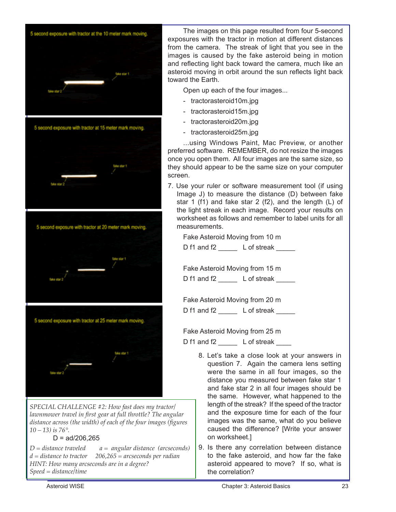

*SPECIAL CHALLENGE #2: How fast does my tractor/ lawnmower travel in first gear at full throttle? The angular distance across (the width) of each of the four images (figures 10 – 13) is 76°.* 

### $D = ad/206,265$

*D = distance traveled a = angular distance (arcseconds) d = distance to tractor 206,265 = arcseconds per radian HINT: How many arcseconds are in a degree? Speed = distance/time*

The images on this page resulted from four 5-second exposures with the tractor in motion at different distances from the camera. The streak of light that you see in the images is caused by the fake asteroid being in motion and reflecting light back toward the camera, much like an asteroid moving in orbit around the sun reflects light back toward the Earth.

Open up each of the four images...

- tractorasteroid10m.jpg
- tractorasteroid15m.jpg
- tractorasteroid20m.jpg
- tractorasteroid25m.jpg

...using Windows Paint, Mac Preview, or another preferred software. REMEMBER, do not resize the images once you open them. All four images are the same size, so they should appear to be the same size on your computer screen.

7. Use your ruler or software measurement tool (if using Image J) to measure the distance (D) between fake star 1 (f1) and fake star 2 (f2), and the length (L) of the light streak in each image. Record your results on worksheet as follows and remember to label units for all measurements.

Fake Asteroid Moving from 10 m

D f1 and f2 \_\_\_\_\_\_\_ L of streak \_\_\_\_\_

Fake Asteroid Moving from 15 m

D f1 and f2 L of streak

Fake Asteroid Moving from 20 m

D f1 and f2 L of streak

Fake Asteroid Moving from 25 m

D f1 and f2 \_\_\_\_\_\_ L of streak \_\_\_\_

- 8. Let's take a close look at your answers in question 7. Again the camera lens setting were the same in all four images, so the distance you measured between fake star 1 and fake star 2 in all four images should be the same. However, what happened to the length of the streak? If the speed of the tractor and the exposure time for each of the four images was the same, what do you believe caused the difference? [Write your answer on worksheet.]
- 9. Is there any correlation between distance to the fake asteroid, and how far the fake asteroid appeared to move? If so, what is the correlation?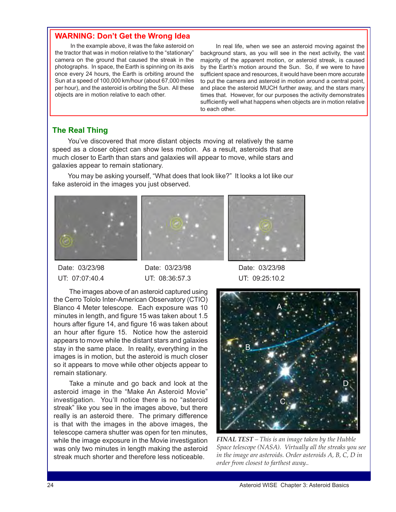### **WARNING: Don't Get the Wrong Idea**

In the example above, it was the fake asteroid on the tractor that was in motion relative to the "stationary" camera on the ground that caused the streak in the photographs. In space, the Earth is spinning on its axis once every 24 hours, the Earth is orbiting around the Sun at a speed of 100,000 km/hour (about 67,000 miles per hour), and the asteroid is orbiting the Sun. All these objects are in motion relative to each other.

In real life, when we see an asteroid moving against the background stars, as you will see in the next activity, the vast majority of the apparent motion, or asteroid streak, is caused by the Earth's motion around the Sun. So, if we were to have sufficient space and resources, it would have been more accurate to put the camera and asteroid in motion around a central point, and place the asteroid MUCH further away, and the stars many times that. However, for our purposes the activity demonstrates sufficiently well what happens when objects are in motion relative to each other.

### **The Real Thing**

You've discovered that more distant objects moving at relatively the same speed as a closer object can show less motion. As a result, asteroids that are much closer to Earth than stars and galaxies will appear to move, while stars and galaxies appear to remain stationary.

You may be asking yourself, "What does that look like?" It looks a lot like our fake asteroid in the images you just observed.







 Date: 03/23/98 Date: 03/23/98 Date: 03/23/98 UT: 07:07:40.4 UT: 08:36:57.3 UT: 09:25:10.2

The images above of an asteroid captured using the Cerro Tololo Inter-American Observatory (CTIO) Blanco 4 Meter telescope. Each exposure was 10 minutes in length, and figure 15 was taken about 1.5 hours after figure 14, and figure 16 was taken about an hour after figure 15. Notice how the asteroid appears to move while the distant stars and galaxies stay in the same place. In reality, everything in the images is in motion, but the asteroid is much closer so it appears to move while other objects appear to remain stationary.

Take a minute and go back and look at the asteroid image in the "Make An Asteroid Movie" investigation. You'll notice there is no "asteroid streak" like you see in the images above, but there really is an asteroid there. The primary difference is that with the images in the above images, the telescope camera shutter was open for ten minutes, while the image exposure in the Movie investigation was only two minutes in length making the asteroid streak much shorter and therefore less noticeable.



*FINAL TEST – This is an image taken by the Hubble Space telescope (NASA). Virtually all the streaks you see in the image are asteroids. Order asteroids A, B, C, D in order from closest to farthest away..*